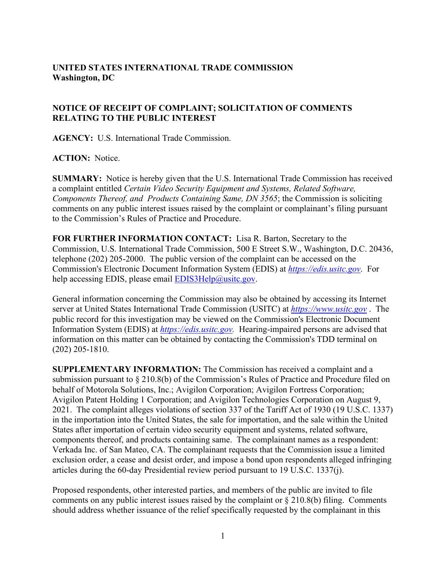## **UNITED STATES INTERNATIONAL TRADE COMMISSION Washington, DC**

## **NOTICE OF RECEIPT OF COMPLAINT; SOLICITATION OF COMMENTS RELATING TO THE PUBLIC INTEREST**

**AGENCY:** U.S. International Trade Commission.

## **ACTION:** Notice.

**SUMMARY:** Notice is hereby given that the U.S. International Trade Commission has received a complaint entitled *Certain Video Security Equipment and Systems, Related Software, Components Thereof, and Products Containing Same, DN 3565*; the Commission is soliciting comments on any public interest issues raised by the complaint or complainant's filing pursuant to the Commission's Rules of Practice and Procedure.

**FOR FURTHER INFORMATION CONTACT:** Lisa R. Barton, Secretary to the Commission, U.S. International Trade Commission, 500 E Street S.W., Washington, D.C. 20436, telephone (202) 205-2000. The public version of the complaint can be accessed on the Commission's Electronic Document Information System (EDIS) at *[https://edis.usitc.gov](https://edis.usitc.gov/)*. For help accessing EDIS, please email  $EDIS3Help@usite.gov$ .

General information concerning the Commission may also be obtained by accessing its Internet server at United States International Trade Commission (USITC) at *[https://www.usitc.gov](https://www.usitc.gov/)* . The public record for this investigation may be viewed on the Commission's Electronic Document Information System (EDIS) at *[https://edis.usitc.gov.](https://edis.usitc.gov/)* Hearing-impaired persons are advised that information on this matter can be obtained by contacting the Commission's TDD terminal on (202) 205-1810.

**SUPPLEMENTARY INFORMATION:** The Commission has received a complaint and a submission pursuant to § 210.8(b) of the Commission's Rules of Practice and Procedure filed on behalf of Motorola Solutions, Inc.; Avigilon Corporation; Avigilon Fortress Corporation; Avigilon Patent Holding 1 Corporation; and Avigilon Technologies Corporation on August 9, 2021. The complaint alleges violations of section 337 of the Tariff Act of 1930 (19 U.S.C. 1337) in the importation into the United States, the sale for importation, and the sale within the United States after importation of certain video security equipment and systems, related software, components thereof, and products containing same. The complainant names as a respondent: Verkada Inc. of San Mateo, CA. The complainant requests that the Commission issue a limited exclusion order, a cease and desist order, and impose a bond upon respondents alleged infringing articles during the 60-day Presidential review period pursuant to 19 U.S.C. 1337(j).

Proposed respondents, other interested parties, and members of the public are invited to file comments on any public interest issues raised by the complaint or  $\S 210.8(b)$  filing. Comments should address whether issuance of the relief specifically requested by the complainant in this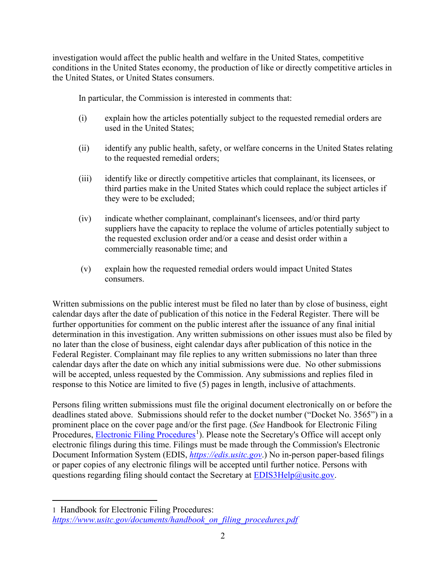investigation would affect the public health and welfare in the United States, competitive conditions in the United States economy, the production of like or directly competitive articles in the United States, or United States consumers.

In particular, the Commission is interested in comments that:

- (i) explain how the articles potentially subject to the requested remedial orders are used in the United States;
- (ii) identify any public health, safety, or welfare concerns in the United States relating to the requested remedial orders;
- (iii) identify like or directly competitive articles that complainant, its licensees, or third parties make in the United States which could replace the subject articles if they were to be excluded;
- (iv) indicate whether complainant, complainant's licensees, and/or third party suppliers have the capacity to replace the volume of articles potentially subject to the requested exclusion order and/or a cease and desist order within a commercially reasonable time; and
- (v) explain how the requested remedial orders would impact United States consumers.

Written submissions on the public interest must be filed no later than by close of business, eight calendar days after the date of publication of this notice in the Federal Register. There will be further opportunities for comment on the public interest after the issuance of any final initial determination in this investigation. Any written submissions on other issues must also be filed by no later than the close of business, eight calendar days after publication of this notice in the Federal Register. Complainant may file replies to any written submissions no later than three calendar days after the date on which any initial submissions were due. No other submissions will be accepted, unless requested by the Commission. Any submissions and replies filed in response to this Notice are limited to five (5) pages in length, inclusive of attachments.

Persons filing written submissions must file the original document electronically on or before the deadlines stated above. Submissions should refer to the docket number ("Docket No. 3565") in a prominent place on the cover page and/or the first page. (*See* Handbook for Electronic Filing Procedures, **Electronic Filing Procedures**<sup>[1](#page-1-0)</sup>). Please note the Secretary's Office will accept only electronic filings during this time. Filings must be made through the Commission's Electronic Document Information System (EDIS, *[https://edis.usitc.gov](https://edis.usitc.gov/)*.) No in-person paper-based filings or paper copies of any electronic filings will be accepted until further notice. Persons with questions regarding filing should contact the Secretary at  $EDIS3Help@usitc.gov$ .

<span id="page-1-0"></span><sup>1</sup> Handbook for Electronic Filing Procedures: *[https://www.usitc.gov/documents/handbook\\_on\\_filing\\_procedures.pdf](https://www.usitc.gov/documents/handbook_on_filing_procedures.pdf)*